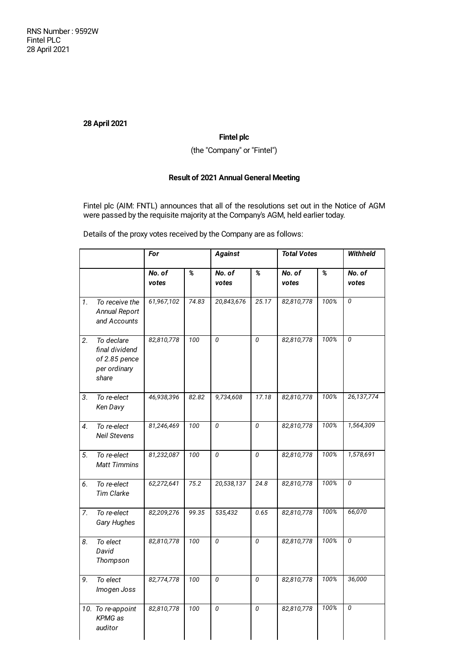# **28 April 2021**

## **Fintel plc**

(the "Company" or "Fintel")

# **Result of 2021 Annual General Meeting**

Fintel plc (AIM: FNTL) announces that all of the resolutions set out in the Notice of AGM were passed by the requisite majority at the Company's AGM, held earlier today.

Details of the proxy votes received by the Company are as follows:

|    |                                                                        | For             |                         | <b>Against</b>     |                         | <b>Total Votes</b> |                         | <b>Withheld</b>         |
|----|------------------------------------------------------------------------|-----------------|-------------------------|--------------------|-------------------------|--------------------|-------------------------|-------------------------|
|    |                                                                        | No. of<br>votes | $\overline{\mathbf{z}}$ | $N0$ . of<br>votes | $\overline{\mathbf{z}}$ | No. of<br>votes    | $\overline{\mathbf{z}}$ | No. of<br>votes         |
| 1. | To receive the<br>Annual Report<br>and Accounts                        | 61,967,102      | 74.83                   | 20,843,676         | 25.17                   | 82,810,778         | 100%                    | 0                       |
| 2. | To declare<br>final dividend<br>of 2.85 pence<br>per ordinary<br>share | 82,810,778      | 100                     | 0                  | 0                       | 82,810,778         | 100%                    | $\overline{0}$          |
| 3. | To re-elect<br>Ken Davy                                                | 46,938,396      | 82.82                   | 9,734,608          | 17.18                   | 82,810,778         | 100%                    | 26,137,774              |
| 4. | To re-elect<br><b>Neil Stevens</b>                                     | 81,246,469      | 100                     | $\theta$           | 0                       | 82,810,778         | 100%                    | 1,564,309               |
| 5. | To re-elect<br><b>Matt Timmins</b>                                     | 81,232,087      | 100                     | 0                  | 0                       | 82,810,778         | 100%                    | 1,578,691               |
| 6. | To re-elect<br><b>Tim Clarke</b>                                       | 62,272,641      | 75.2                    | 20,538,137         | 24.8                    | 82,810,778         | 100%                    | $\overline{\mathbf{0}}$ |
| 7. | To re-elect<br>Gary Hughes                                             | 82,209,276      | 99.35                   | 535,432            | 0.65                    | 82,810,778         | 100%                    | 66,070                  |
| 8. | To elect<br>David<br>Thompson                                          | 82,810,778      | 100                     | 0                  | 0                       | 82,810,778         | 100%                    | $\overline{0}$          |
| 9. | To elect<br>Imogen Joss                                                | 82,774,778      | 100                     | 0                  | 0                       | 82,810,778         | 100%                    | 36,000                  |
|    | 10. To re-appoint<br><b>KPMG</b> as<br>auditor                         | 82,810,778      | 100                     | $\theta$           | 0                       | 82,810,778         | 100%                    | $\overline{0}$          |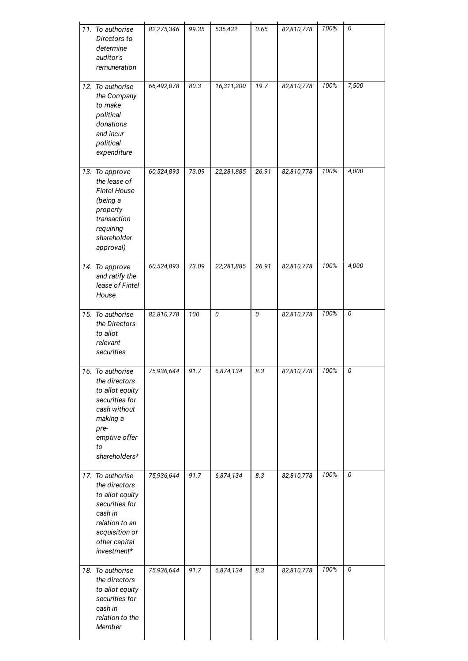| 11. To authorise<br>Directors to<br>determine<br>auditor's<br>remuneration                                                                            | 82,275,346 | 99.35 | 535,432                 | $0.65\,$  | 82,810,778 | 100% | $\overline{\mathbf{0}}$ |
|-------------------------------------------------------------------------------------------------------------------------------------------------------|------------|-------|-------------------------|-----------|------------|------|-------------------------|
| 12. To authorise<br>the Company<br>to make<br>political<br>donations<br>and incur<br>political<br>expenditure                                         | 66,492,078 | 80.3  | 16,311,200              | 19.7      | 82,810,778 | 100% | 7,500                   |
| 13. To approve<br>the lease of<br><b>Fintel House</b><br>(being a<br>property<br>transaction<br>requiring<br>shareholder<br>approval)                 | 60,524,893 | 73.09 | 22,281,885              | 26.91     | 82,810,778 | 100% | 4,000                   |
| 14. To approve<br>and ratify the<br>lease of Fintel<br>House.                                                                                         | 60,524,893 | 73.09 | 22,281,885              | 26.91     | 82,810,778 | 100% | 4,000                   |
| 15. To authorise<br>the Directors<br>to allot<br>relevant<br>securities                                                                               | 82,810,778 | 100   | $\overline{\mathbf{0}}$ | $\pmb{0}$ | 82,810,778 | 100% | $\overline{\mathbf{0}}$ |
| 16. To authorise<br>the directors<br>to allot equity<br>securities for<br>cash without<br>making a<br>pre-<br>emptive offer<br>to<br>shareholders*    | 75,936,644 | 91.7  | 6,874,134               | $8.3\,$   | 82,810,778 | 100% | 0                       |
| 17. To authorise<br>the directors<br>to allot equity<br>securities for<br>cash in<br>relation to an<br>acquisition or<br>other capital<br>investment* | 75,936,644 | 91.7  | 6,874,134               | 8.3       | 82,810,778 | 100% | $\overline{\mathbf{0}}$ |
| 18. To authorise<br>the directors<br>to allot equity<br>securities for<br>cash in<br>relation to the<br>Member                                        | 75,936,644 | 91.7  | 6,874,134               | 8.3       | 82,810,778 | 100% | $\overline{\mathbf{0}}$ |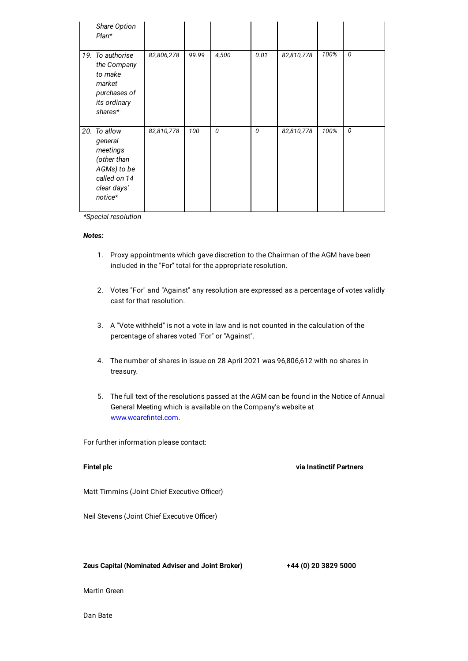| Share Option<br>$Plan*$                                                                                     |            |       |       |      |            |      |   |
|-------------------------------------------------------------------------------------------------------------|------------|-------|-------|------|------------|------|---|
| 19. To authorise<br>the Company<br>to make<br>market<br>purchases of<br>its ordinary<br>shares*             | 82,806,278 | 99.99 | 4,500 | 0.01 | 82,810,778 | 100% | 0 |
| 20. To allow<br>general<br>meetings<br>(other than<br>AGMs) to be<br>called on 14<br>clear days'<br>notice* | 82,810,778 | 100   | 0     | 0    | 82,810,778 | 100% | 0 |

*\*Special resolution*

### *Notes:*

- 1. Proxy appointments which gave discretion to the Chairman of the AGM have been included in the "For" total for the appropriate resolution.
- 2. Votes "For" and "Against" any resolution are expressed as a percentage of votes validly cast for that resolution.
- 3. A "Vote withheld" is not a vote in law and is not counted in the calculation of the percentage of shares voted "For" or "Against".
- 4. The number of shares in issue on 28 April 2021 was 96,806,612 with no shares in treasury.
- 5. The full text of the resolutions passed at the AGM can be found in the Notice of Annual General Meeting which is available on the Company's website at [www.wearefintel.com](http://www.wearefintel.com/).

For further information please contact:

## **Fintel plc via Instinctif Partners**

Matt Timmins (Joint Chief Executive Officer)

Neil Stevens (Joint Chief Executive Officer)

## **Zeus Capital (Nominated Adviser and Joint Broker) +44 (0) 20 3829 5000**

Martin Green

Dan Bate